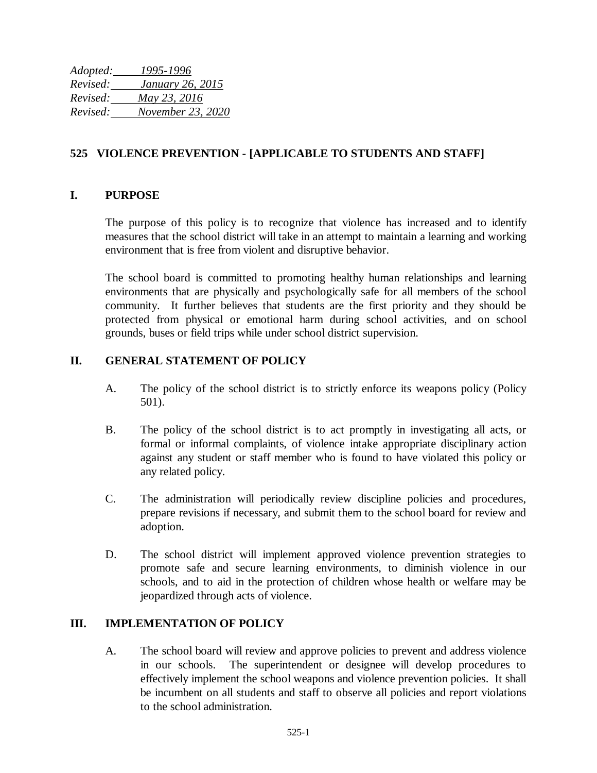*Adopted: 1995-1996 Revised: January 26, 2015 Revised: May 23, 2016 Revised: November 23, 2020*

## **525 VIOLENCE PREVENTION - [APPLICABLE TO STUDENTS AND STAFF]**

### **I. PURPOSE**

The purpose of this policy is to recognize that violence has increased and to identify measures that the school district will take in an attempt to maintain a learning and working environment that is free from violent and disruptive behavior.

The school board is committed to promoting healthy human relationships and learning environments that are physically and psychologically safe for all members of the school community. It further believes that students are the first priority and they should be protected from physical or emotional harm during school activities, and on school grounds, buses or field trips while under school district supervision.

### **II. GENERAL STATEMENT OF POLICY**

- A. The policy of the school district is to strictly enforce its weapons policy (Policy 501).
- B. The policy of the school district is to act promptly in investigating all acts, or formal or informal complaints, of violence intake appropriate disciplinary action against any student or staff member who is found to have violated this policy or any related policy.
- C. The administration will periodically review discipline policies and procedures, prepare revisions if necessary, and submit them to the school board for review and adoption.
- D. The school district will implement approved violence prevention strategies to promote safe and secure learning environments, to diminish violence in our schools, and to aid in the protection of children whose health or welfare may be jeopardized through acts of violence.

#### **III. IMPLEMENTATION OF POLICY**

A. The school board will review and approve policies to prevent and address violence in our schools. The superintendent or designee will develop procedures to effectively implement the school weapons and violence prevention policies. It shall be incumbent on all students and staff to observe all policies and report violations to the school administration.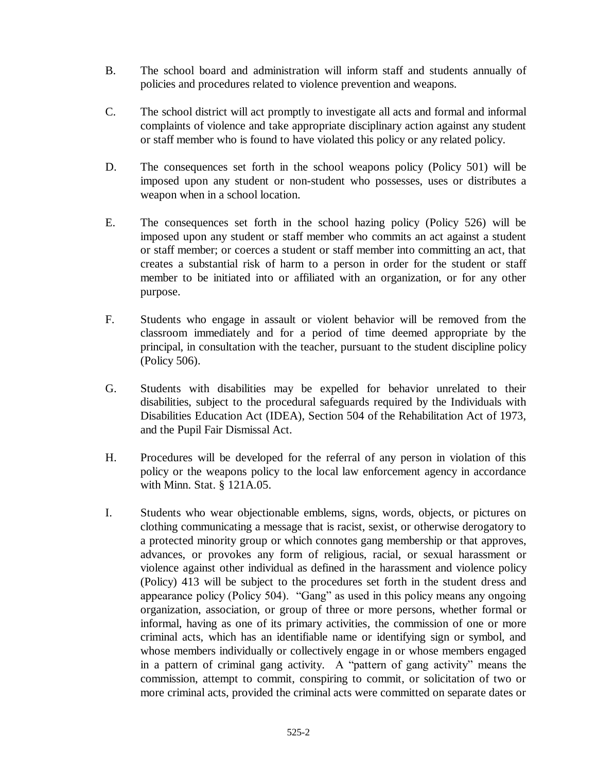- B. The school board and administration will inform staff and students annually of policies and procedures related to violence prevention and weapons.
- C. The school district will act promptly to investigate all acts and formal and informal complaints of violence and take appropriate disciplinary action against any student or staff member who is found to have violated this policy or any related policy.
- D. The consequences set forth in the school weapons policy (Policy 501) will be imposed upon any student or non-student who possesses, uses or distributes a weapon when in a school location.
- E. The consequences set forth in the school hazing policy (Policy 526) will be imposed upon any student or staff member who commits an act against a student or staff member; or coerces a student or staff member into committing an act, that creates a substantial risk of harm to a person in order for the student or staff member to be initiated into or affiliated with an organization, or for any other purpose.
- F. Students who engage in assault or violent behavior will be removed from the classroom immediately and for a period of time deemed appropriate by the principal, in consultation with the teacher, pursuant to the student discipline policy (Policy 506).
- G. Students with disabilities may be expelled for behavior unrelated to their disabilities, subject to the procedural safeguards required by the Individuals with Disabilities Education Act (IDEA), Section 504 of the Rehabilitation Act of 1973, and the Pupil Fair Dismissal Act.
- H. Procedures will be developed for the referral of any person in violation of this policy or the weapons policy to the local law enforcement agency in accordance with Minn. Stat. § 121A.05.
- I. Students who wear objectionable emblems, signs, words, objects, or pictures on clothing communicating a message that is racist, sexist, or otherwise derogatory to a protected minority group or which connotes gang membership or that approves, advances, or provokes any form of religious, racial, or sexual harassment or violence against other individual as defined in the harassment and violence policy (Policy) 413 will be subject to the procedures set forth in the student dress and appearance policy (Policy 504). "Gang" as used in this policy means any ongoing organization, association, or group of three or more persons, whether formal or informal, having as one of its primary activities, the commission of one or more criminal acts, which has an identifiable name or identifying sign or symbol, and whose members individually or collectively engage in or whose members engaged in a pattern of criminal gang activity. A "pattern of gang activity" means the commission, attempt to commit, conspiring to commit, or solicitation of two or more criminal acts, provided the criminal acts were committed on separate dates or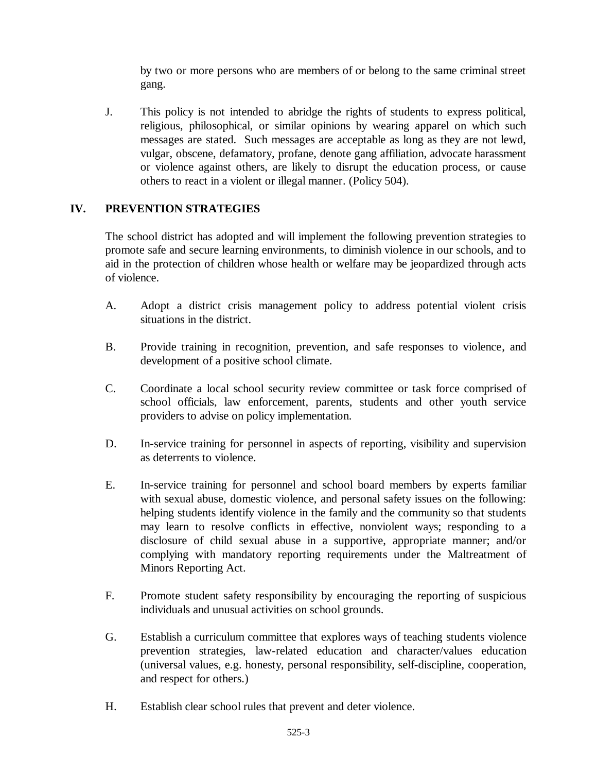by two or more persons who are members of or belong to the same criminal street gang.

J. This policy is not intended to abridge the rights of students to express political, religious, philosophical, or similar opinions by wearing apparel on which such messages are stated. Such messages are acceptable as long as they are not lewd, vulgar, obscene, defamatory, profane, denote gang affiliation, advocate harassment or violence against others, are likely to disrupt the education process, or cause others to react in a violent or illegal manner. (Policy 504).

# **IV. PREVENTION STRATEGIES**

The school district has adopted and will implement the following prevention strategies to promote safe and secure learning environments, to diminish violence in our schools, and to aid in the protection of children whose health or welfare may be jeopardized through acts of violence.

- A. Adopt a district crisis management policy to address potential violent crisis situations in the district.
- B. Provide training in recognition, prevention, and safe responses to violence, and development of a positive school climate.
- C. Coordinate a local school security review committee or task force comprised of school officials, law enforcement, parents, students and other youth service providers to advise on policy implementation.
- D. In-service training for personnel in aspects of reporting, visibility and supervision as deterrents to violence.
- E. In-service training for personnel and school board members by experts familiar with sexual abuse, domestic violence, and personal safety issues on the following: helping students identify violence in the family and the community so that students may learn to resolve conflicts in effective, nonviolent ways; responding to a disclosure of child sexual abuse in a supportive, appropriate manner; and/or complying with mandatory reporting requirements under the Maltreatment of Minors Reporting Act.
- F. Promote student safety responsibility by encouraging the reporting of suspicious individuals and unusual activities on school grounds.
- G. Establish a curriculum committee that explores ways of teaching students violence prevention strategies, law-related education and character/values education (universal values, e.g. honesty, personal responsibility, self-discipline, cooperation, and respect for others.)
- H. Establish clear school rules that prevent and deter violence.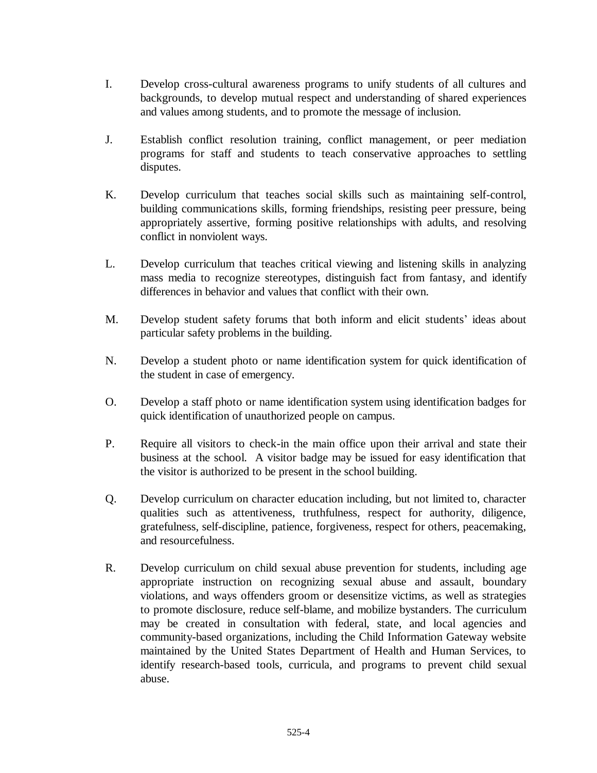- I. Develop cross-cultural awareness programs to unify students of all cultures and backgrounds, to develop mutual respect and understanding of shared experiences and values among students, and to promote the message of inclusion.
- J. Establish conflict resolution training, conflict management, or peer mediation programs for staff and students to teach conservative approaches to settling disputes.
- K. Develop curriculum that teaches social skills such as maintaining self-control, building communications skills, forming friendships, resisting peer pressure, being appropriately assertive, forming positive relationships with adults, and resolving conflict in nonviolent ways.
- L. Develop curriculum that teaches critical viewing and listening skills in analyzing mass media to recognize stereotypes, distinguish fact from fantasy, and identify differences in behavior and values that conflict with their own.
- M. Develop student safety forums that both inform and elicit students' ideas about particular safety problems in the building.
- N. Develop a student photo or name identification system for quick identification of the student in case of emergency.
- O. Develop a staff photo or name identification system using identification badges for quick identification of unauthorized people on campus.
- P. Require all visitors to check-in the main office upon their arrival and state their business at the school. A visitor badge may be issued for easy identification that the visitor is authorized to be present in the school building.
- Q. Develop curriculum on character education including, but not limited to, character qualities such as attentiveness, truthfulness, respect for authority, diligence, gratefulness, self-discipline, patience, forgiveness, respect for others, peacemaking, and resourcefulness.
- R. Develop curriculum on child sexual abuse prevention for students, including age appropriate instruction on recognizing sexual abuse and assault, boundary violations, and ways offenders groom or desensitize victims, as well as strategies to promote disclosure, reduce self-blame, and mobilize bystanders. The curriculum may be created in consultation with federal, state, and local agencies and community-based organizations, including the Child Information Gateway website maintained by the United States Department of Health and Human Services, to identify research-based tools, curricula, and programs to prevent child sexual abuse.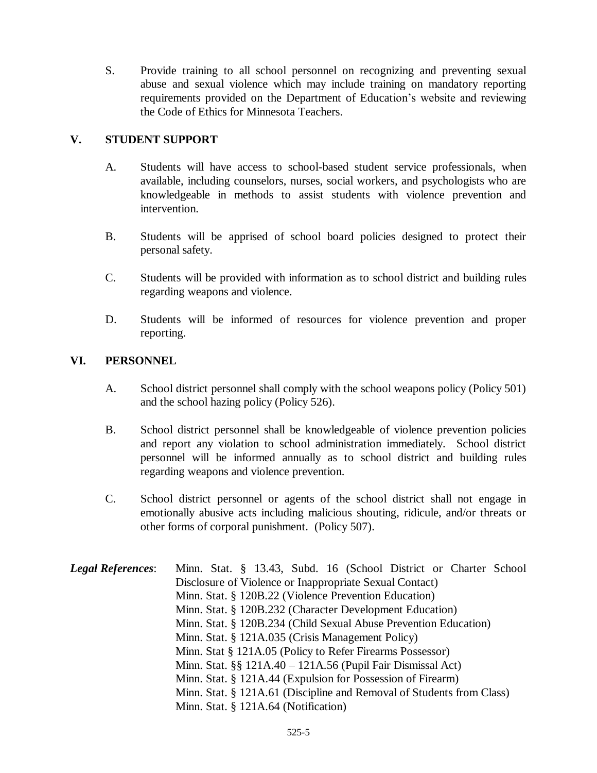S. Provide training to all school personnel on recognizing and preventing sexual abuse and sexual violence which may include training on mandatory reporting requirements provided on the Department of Education's website and reviewing the Code of Ethics for Minnesota Teachers.

# **V. STUDENT SUPPORT**

- A. Students will have access to school-based student service professionals, when available, including counselors, nurses, social workers, and psychologists who are knowledgeable in methods to assist students with violence prevention and intervention.
- B. Students will be apprised of school board policies designed to protect their personal safety.
- C. Students will be provided with information as to school district and building rules regarding weapons and violence.
- D. Students will be informed of resources for violence prevention and proper reporting.

### **VI. PERSONNEL**

- A. School district personnel shall comply with the school weapons policy (Policy 501) and the school hazing policy (Policy 526).
- B. School district personnel shall be knowledgeable of violence prevention policies and report any violation to school administration immediately. School district personnel will be informed annually as to school district and building rules regarding weapons and violence prevention.
- C. School district personnel or agents of the school district shall not engage in emotionally abusive acts including malicious shouting, ridicule, and/or threats or other forms of corporal punishment. (Policy 507).
- *Legal References*: Minn. Stat. § 13.43, Subd. 16 (School District or Charter School Disclosure of Violence or Inappropriate Sexual Contact) Minn. Stat. § 120B.22 (Violence Prevention Education) Minn. Stat. § 120B.232 (Character Development Education) Minn. Stat. § 120B.234 (Child Sexual Abuse Prevention Education) Minn. Stat. § 121A.035 (Crisis Management Policy) Minn. Stat § 121A.05 (Policy to Refer Firearms Possessor) Minn. Stat. §§ 121A.40 – 121A.56 (Pupil Fair Dismissal Act) Minn. Stat. § 121A.44 (Expulsion for Possession of Firearm) Minn. Stat. § 121A.61 (Discipline and Removal of Students from Class) Minn. Stat. § 121A.64 (Notification)